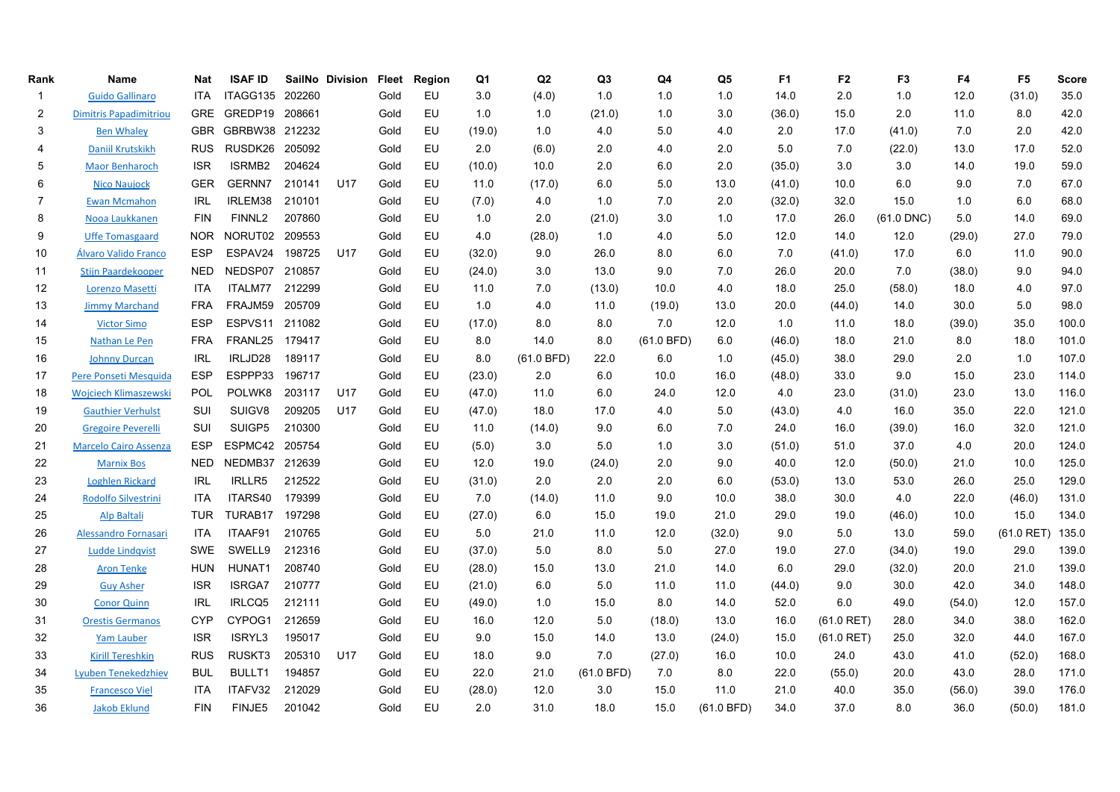| Rank                    | Name                          | Nat        | <b>ISAF ID</b>     |        | SailNo Division | <b>Fleet</b> | Region | Q1     | Q2         | Q <sub>3</sub> | Q4         | Q5         | F <sub>1</sub> | F <sub>2</sub> | F <sub>3</sub> | F4     | F <sub>5</sub> | <b>Score</b> |
|-------------------------|-------------------------------|------------|--------------------|--------|-----------------|--------------|--------|--------|------------|----------------|------------|------------|----------------|----------------|----------------|--------|----------------|--------------|
| $\mathbf{1}$            | <b>Guido Gallinaro</b>        | <b>ITA</b> | ITAGG135 202260    |        |                 | Gold         | EU     | 3.0    | (4.0)      | 1.0            | 1.0        | 1.0        | 14.0           | 2.0            | 1.0            | 12.0   | (31.0)         | 35.0         |
| $\overline{\mathbf{c}}$ | <b>Dimitris Papadimitriou</b> | <b>GRE</b> | GREDP19 208661     |        |                 | Gold         | EU     | 1.0    | 1.0        | (21.0)         | 1.0        | 3.0        | (36.0)         | 15.0           | 2.0            | 11.0   | 8.0            | 42.0         |
| 3                       | <b>Ben Whaley</b>             | <b>GBR</b> | GBRBW38 212232     |        |                 | Gold         | EU     | (19.0) | 1.0        | 4.0            | 5.0        | 4.0        | 2.0            | 17.0           | (41.0)         | 7.0    | 2.0            | 42.0         |
| 4                       | Daniil Krutskikh              | <b>RUS</b> | RUSDK26 205092     |        |                 | Gold         | EU     | 2.0    | (6.0)      | 2.0            | 4.0        | 2.0        | 5.0            | 7.0            | (22.0)         | 13.0   | 17.0           | 52.0         |
| 5                       | <b>Maor Benharoch</b>         | <b>ISR</b> | ISRMB2             | 204624 |                 | Gold         | EU     | (10.0) | 10.0       | 2.0            | 6.0        | 2.0        | (35.0)         | 3.0            | 3.0            | 14.0   | 19.0           | 59.0         |
| 6                       | <b>Nico Naujock</b>           | <b>GER</b> | GERNN7             | 210141 | U17             | Gold         | EU     | 11.0   | (17.0)     | 6.0            | 5.0        | 13.0       | (41.0)         | 10.0           | 6.0            | 9.0    | 7.0            | 67.0         |
| $\overline{7}$          | <b>Ewan Mcmahon</b>           | IRL        | IRLEM38            | 210101 |                 | Gold         | EU     | (7.0)  | 4.0        | 1.0            | 7.0        | 2.0        | (32.0)         | 32.0           | 15.0           | 1.0    | 6.0            | 68.0         |
| 8                       | Nooa Laukkanen                | <b>FIN</b> | FINNL <sub>2</sub> | 207860 |                 | Gold         | EU     | 1.0    | 2.0        | (21.0)         | 3.0        | 1.0        | 17.0           | 26.0           | $(61.0$ DNC)   | 5.0    | 14.0           | 69.0         |
| 9                       | <b>Uffe Tomasgaard</b>        | <b>NOR</b> | NORUT02 209553     |        |                 | Gold         | EU     | 4.0    | (28.0)     | 1.0            | 4.0        | 5.0        | 12.0           | 14.0           | 12.0           | (29.0) | 27.0           | 79.0         |
| 10                      | Álvaro Valido Franco          | ESP        | ESPAV24            | 198725 | U17             | Gold         | EU     | (32.0) | 9.0        | 26.0           | 8.0        | 6.0        | 7.0            | (41.0)         | 17.0           | 6.0    | 11.0           | 90.0         |
| 11                      | <b>Stijn Paardekooper</b>     | <b>NED</b> | NEDSP07            | 210857 |                 | Gold         | EU     | (24.0) | 3.0        | 13.0           | 9.0        | 7.0        | 26.0           | 20.0           | 7.0            | (38.0) | 9.0            | 94.0         |
| 12                      | <b>Lorenzo Masetti</b>        | <b>ITA</b> | ITALM77            | 212299 |                 | Gold         | EU     | 11.0   | 7.0        | (13.0)         | 10.0       | 4.0        | 18.0           | 25.0           | (58.0)         | 18.0   | 4.0            | 97.0         |
| 13                      | <b>Jimmy Marchand</b>         | <b>FRA</b> | FRAJM59 205709     |        |                 | Gold         | EU     | 1.0    | 4.0        | 11.0           | (19.0)     | 13.0       | 20.0           | (44.0)         | 14.0           | 30.0   | 5.0            | 98.0         |
| 14                      | <b>Victor Simo</b>            | <b>ESP</b> | ESPVS11 211082     |        |                 | Gold         | EU     | (17.0) | 8.0        | 8.0            | 7.0        | 12.0       | 1.0            | 11.0           | 18.0           | (39.0) | 35.0           | 100.0        |
| 15                      | Nathan Le Pen                 | FRA        | FRANL25 179417     |        |                 | Gold         | EU     | 8.0    | 14.0       | 8.0            | (61.0 BFD) | 6.0        | (46.0)         | 18.0           | 21.0           | 8.0    | 18.0           | 101.0        |
| 16                      | <b>Johnny Durcan</b>          | <b>IRL</b> | IRLJD28            | 189117 |                 | Gold         | EU     | 8.0    | (61.0 BFD) | 22.0           | 6.0        | 1.0        | (45.0)         | 38.0           | 29.0           | 2.0    | 1.0            | 107.0        |
| 17                      | Pere Ponseti Mesquida         | <b>ESP</b> | ESPPP33            | 196717 |                 | Gold         | EU     | (23.0) | 2.0        | 6.0            | 10.0       | 16.0       | (48.0)         | 33.0           | 9.0            | 15.0   | 23.0           | 114.0        |
| 18                      | <b>Wojciech Klimaszewski</b>  | <b>POL</b> | POLWK8             | 203117 | U17             | Gold         | EU     | (47.0) | 11.0       | 6.0            | 24.0       | 12.0       | 4.0            | 23.0           | (31.0)         | 23.0   | 13.0           | 116.0        |
| 19                      | <b>Gauthier Verhulst</b>      | SUI        | SUIGV8             | 209205 | U17             | Gold         | EU     | (47.0) | 18.0       | 17.0           | 4.0        | 5.0        | (43.0)         | 4.0            | 16.0           | 35.0   | 22.0           | 121.0        |
| 20                      | <b>Gregoire Peverelli</b>     | SUI        | SUIGP5             | 210300 |                 | Gold         | EU     | 11.0   | (14.0)     | 9.0            | 6.0        | 7.0        | 24.0           | 16.0           | (39.0)         | 16.0   | 32.0           | 121.0        |
| 21                      | <b>Marcelo Cairo Assenza</b>  | <b>ESP</b> | ESPMC42 205754     |        |                 | Gold         | EU     | (5.0)  | 3.0        | 5.0            | 1.0        | 3.0        | (51.0)         | 51.0           | 37.0           | 4.0    | 20.0           | 124.0        |
| 22                      | <b>Marnix Bos</b>             | <b>NED</b> | NEDMB37 212639     |        |                 | Gold         | EU     | 12.0   | 19.0       | (24.0)         | 2.0        | 9.0        | 40.0           | 12.0           | (50.0)         | 21.0   | 10.0           | 125.0        |
| 23                      | <b>Loghlen Rickard</b>        | <b>IRL</b> | <b>IRLLR5</b>      | 212522 |                 | Gold         | EU     | (31.0) | 2.0        | 2.0            | 2.0        | 6.0        | (53.0)         | 13.0           | 53.0           | 26.0   | 25.0           | 129.0        |
| 24                      | Rodolfo Silvestrini           | <b>ITA</b> | ITARS40            | 179399 |                 | Gold         | EU     | 7.0    | (14.0)     | 11.0           | 9.0        | 10.0       | 38.0           | 30.0           | 4.0            | 22.0   | (46.0)         | 131.0        |
| 25                      | <b>Alp Baltali</b>            | <b>TUR</b> | TURAB17 197298     |        |                 | Gold         | EU     | (27.0) | 6.0        | 15.0           | 19.0       | 21.0       | 29.0           | 19.0           | (46.0)         | 10.0   | 15.0           | 134.0        |
| 26                      | Alessandro Fornasari          | <b>ITA</b> | ITAAF91            | 210765 |                 | Gold         | EU     | 5.0    | 21.0       | 11.0           | 12.0       | (32.0)     | 9.0            | 5.0            | 13.0           | 59.0   | $(61.0$ RET)   | 135.0        |
| 27                      | <b>Ludde Lindqvist</b>        | <b>SWE</b> | SWELL9             | 212316 |                 | Gold         | EU     | (37.0) | 5.0        | 8.0            | 5.0        | 27.0       | 19.0           | 27.0           | (34.0)         | 19.0   | 29.0           | 139.0        |
| 28                      | <b>Aron Tenke</b>             | <b>HUN</b> | HUNAT1             | 208740 |                 | Gold         | EU     | (28.0) | 15.0       | 13.0           | 21.0       | 14.0       | 6.0            | 29.0           | (32.0)         | 20.0   | 21.0           | 139.0        |
| 29                      | <b>Guy Asher</b>              | <b>ISR</b> | <b>ISRGA7</b>      | 210777 |                 | Gold         | EU     | (21.0) | 6.0        | 5.0            | 11.0       | 11.0       | (44.0)         | 9.0            | 30.0           | 42.0   | 34.0           | 148.0        |
| 30                      | <b>Conor Quinn</b>            | <b>IRL</b> | IRLCQ5             | 212111 |                 | Gold         | EU     | (49.0) | 1.0        | 15.0           | 8.0        | 14.0       | 52.0           | 6.0            | 49.0           | (54.0) | 12.0           | 157.0        |
| 31                      | <b>Orestis Germanos</b>       | <b>CYP</b> | CYPOG1             | 212659 |                 | Gold         | EU     | 16.0   | 12.0       | 5.0            | (18.0)     | 13.0       | 16.0           | $(61.0$ RET)   | 28.0           | 34.0   | 38.0           | 162.0        |
| 32                      | <b>Yam Lauber</b>             | <b>ISR</b> | ISRYL3             | 195017 |                 | Gold         | EU     | 9.0    | 15.0       | 14.0           | 13.0       | (24.0)     | 15.0           | $(61.0$ RET)   | 25.0           | 32.0   | 44.0           | 167.0        |
| 33                      | <b>Kirill Tereshkin</b>       | <b>RUS</b> | RUSKT3             | 205310 | U17             | Gold         | EU     | 18.0   | 9.0        | 7.0            | (27.0)     | 16.0       | 10.0           | 24.0           | 43.0           | 41.0   | (52.0)         | 168.0        |
| 34                      | <b>Lyuben Tenekedzhiev</b>    | <b>BUL</b> | <b>BULLT1</b>      | 194857 |                 | Gold         | EU     | 22.0   | 21.0       | (61.0 BFD)     | 7.0        | 8.0        | 22.0           | (55.0)         | 20.0           | 43.0   | 28.0           | 171.0        |
| 35                      | <b>Francesco Viel</b>         | ITA        | ITAFV32            | 212029 |                 | Gold         | EU     | (28.0) | 12.0       | 3.0            | 15.0       | 11.0       | 21.0           | 40.0           | 35.0           | (56.0) | 39.0           | 176.0        |
| 36                      | <b>Jakob Eklund</b>           | <b>FIN</b> | FINJE5             | 201042 |                 | Gold         | EU     | 2.0    | 31.0       | 18.0           | 15.0       | (61.0 BFD) | 34.0           | 37.0           | 8.0            | 36.0   | (50.0)         | 181.0        |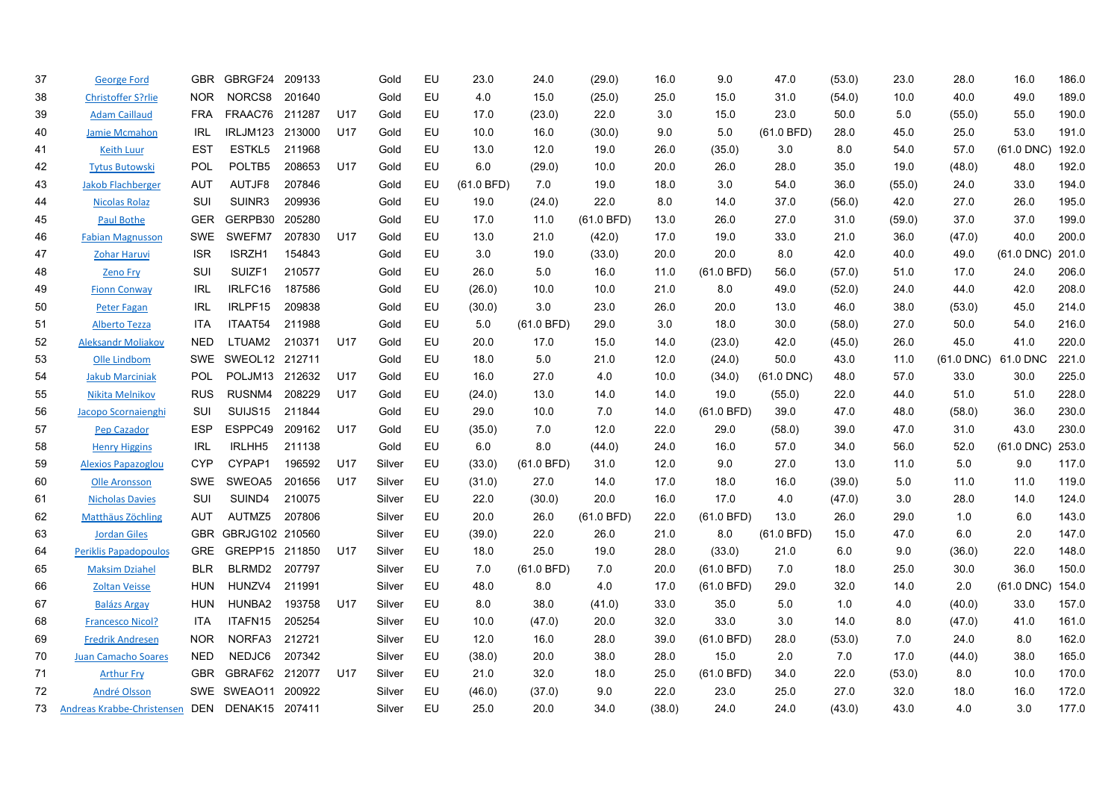| 37 | <b>George Ford</b>           | GBR.       | GBRGF24             | 209133 |     | Gold   | EU | 23.0       | 24.0         | (29.0)     | 16.0   | 9.0          | 47.0            | (53.0) | 23.0   | 28.0                | 16.0         | 186.0 |
|----|------------------------------|------------|---------------------|--------|-----|--------|----|------------|--------------|------------|--------|--------------|-----------------|--------|--------|---------------------|--------------|-------|
| 38 | <b>Christoffer S?rlie</b>    | <b>NOR</b> | NORCS8              | 201640 |     | Gold   | EU | 4.0        | 15.0         | (25.0)     | 25.0   | 15.0         | 31.0            | (54.0) | 10.0   | 40.0                | 49.0         | 189.0 |
| 39 | <b>Adam Caillaud</b>         | <b>FRA</b> | FRAAC76             | 211287 | U17 | Gold   | EU | 17.0       | (23.0)       | 22.0       | 3.0    | 15.0         | 23.0            | 50.0   | 5.0    | (55.0)              | 55.0         | 190.0 |
| 40 | <b>Jamie Mcmahon</b>         | <b>IRL</b> | IRLJM123            | 213000 | U17 | Gold   | EU | 10.0       | 16.0         | (30.0)     | 9.0    | 5.0          | (61.0 BFD)      | 28.0   | 45.0   | 25.0                | 53.0         | 191.0 |
| 41 | <b>Keith Luur</b>            | <b>EST</b> | ESTKL5              | 211968 |     | Gold   | EU | 13.0       | 12.0         | 19.0       | 26.0   | (35.0)       | 3.0             | 8.0    | 54.0   | 57.0                | $(61.0$ DNC) | 192.0 |
| 42 | <b>Tytus Butowski</b>        | POL        | POLTB5              | 208653 | U17 | Gold   | EU | 6.0        | (29.0)       | 10.0       | 20.0   | 26.0         | 28.0            | 35.0   | 19.0   | (48.0)              | 48.0         | 192.0 |
| 43 | <b>Jakob Flachberger</b>     | <b>AUT</b> | AUTJF8              | 207846 |     | Gold   | EU | (61.0 BFD) | 7.0          | 19.0       | 18.0   | 3.0          | 54.0            | 36.0   | (55.0) | 24.0                | 33.0         | 194.0 |
| 44 | <b>Nicolas Rolaz</b>         | SUI        | SUINR3              | 209936 |     | Gold   | EU | 19.0       | (24.0)       | 22.0       | 8.0    | 14.0         | 37.0            | (56.0) | 42.0   | 27.0                | 26.0         | 195.0 |
| 45 | <b>Paul Bothe</b>            | <b>GER</b> | GERPB30             | 205280 |     | Gold   | EU | 17.0       | 11.0         | (61.0 BFD) | 13.0   | 26.0         | 27.0            | 31.0   | (59.0) | 37.0                | 37.0         | 199.0 |
| 46 | <b>Fabian Magnusson</b>      | <b>SWE</b> | SWEFM7              | 207830 | U17 | Gold   | EU | 13.0       | 21.0         | (42.0)     | 17.0   | 19.0         | 33.0            | 21.0   | 36.0   | (47.0)              | 40.0         | 200.0 |
| 47 | <b>Zohar Haruvi</b>          | <b>ISR</b> | ISRZH1              | 154843 |     | Gold   | EU | 3.0        | 19.0         | (33.0)     | 20.0   | 20.0         | 8.0             | 42.0   | 40.0   | 49.0                | $(61.0$ DNC) | 201.0 |
| 48 | <b>Zeno Fry</b>              | SUI        | SUIZF1              | 210577 |     | Gold   | EU | 26.0       | 5.0          | 16.0       | 11.0   | (61.0 BFD)   | 56.0            | (57.0) | 51.0   | 17.0                | 24.0         | 206.0 |
| 49 | <b>Fionn Conway</b>          | IRL        | IRLFC16             | 187586 |     | Gold   | EU | (26.0)     | 10.0         | 10.0       | 21.0   | 8.0          | 49.0            | (52.0) | 24.0   | 44.0                | 42.0         | 208.0 |
| 50 | <b>Peter Fagan</b>           | <b>IRL</b> | IRLPF15             | 209838 |     | Gold   | EU | (30.0)     | 3.0          | 23.0       | 26.0   | 20.0         | 13.0            | 46.0   | 38.0   | (53.0)              | 45.0         | 214.0 |
| 51 | <b>Alberto Tezza</b>         | <b>ITA</b> | ITAAT54             | 211988 |     | Gold   | EU | 5.0        | $(61.0$ BFD) | 29.0       | 3.0    | 18.0         | 30.0            | (58.0) | 27.0   | 50.0                | 54.0         | 216.0 |
| 52 | <b>Aleksandr Moliakov</b>    | <b>NED</b> | LTUAM2              | 210371 | U17 | Gold   | EU | 20.0       | 17.0         | 15.0       | 14.0   | (23.0)       | 42.0            | (45.0) | 26.0   | 45.0                | 41.0         | 220.0 |
| 53 | Olle Lindbom                 | <b>SWE</b> | SWEOL12 212711      |        |     | Gold   | EU | 18.0       | 5.0          | 21.0       | 12.0   | (24.0)       | 50.0            | 43.0   | 11.0   | (61.0 DNC) 61.0 DNC |              | 221.0 |
| 54 | <b>Jakub Marciniak</b>       | <b>POL</b> | POLJM13 212632      |        | U17 | Gold   | EU | 16.0       | 27.0         | 4.0        | 10.0   | (34.0)       | $(61.0$ DNC $)$ | 48.0   | 57.0   | 33.0                | 30.0         | 225.0 |
| 55 | Nikita Melnikov              | <b>RUS</b> | RUSNM4              | 208229 | U17 | Gold   | EU | (24.0)     | 13.0         | 14.0       | 14.0   | 19.0         | (55.0)          | 22.0   | 44.0   | 51.0                | 51.0         | 228.0 |
| 56 | Jacopo Scornaienghi          | SUI        | SUIJS <sub>15</sub> | 211844 |     | Gold   | EU | 29.0       | 10.0         | 7.0        | 14.0   | (61.0 BFD)   | 39.0            | 47.0   | 48.0   | (58.0)              | 36.0         | 230.0 |
| 57 | <b>Pep Cazador</b>           | <b>ESP</b> | ESPPC49             | 209162 | U17 | Gold   | EU | (35.0)     | 7.0          | 12.0       | 22.0   | 29.0         | (58.0)          | 39.0   | 47.0   | 31.0                | 43.0         | 230.0 |
| 58 | <b>Henry Higgins</b>         | IRL        | IRLHH <sub>5</sub>  | 211138 |     | Gold   | EU | 6.0        | 8.0          | (44.0)     | 24.0   | 16.0         | 57.0            | 34.0   | 56.0   | 52.0                | $(61.0$ DNC) | 253.0 |
| 59 | <b>Alexios Papazoglou</b>    | <b>CYP</b> | CYPAP1              | 196592 | U17 | Silver | EU | (33.0)     | $(61.0$ BFD) | 31.0       | 12.0   | 9.0          | 27.0            | 13.0   | 11.0   | 5.0                 | 9.0          | 117.0 |
| 60 | <b>Olle Aronsson</b>         | SWE        | SWEOA5              | 201656 | U17 | Silver | EU | (31.0)     | 27.0         | 14.0       | 17.0   | 18.0         | 16.0            | (39.0) | 5.0    | 11.0                | 11.0         | 119.0 |
| 61 | <b>Nicholas Davies</b>       | SUI        | SUIND4              | 210075 |     | Silver | EU | 22.0       | (30.0)       | 20.0       | 16.0   | 17.0         | 4.0             | (47.0) | 3.0    | 28.0                | 14.0         | 124.0 |
| 62 | Matthäus Zöchling            | AUT        | AUTMZ5              | 207806 |     | Silver | EU | 20.0       | 26.0         | (61.0 BFD) | 22.0   | (61.0 BFD)   | 13.0            | 26.0   | 29.0   | 1.0                 | 6.0          | 143.0 |
| 63 | <b>Jordan Giles</b>          | <b>GBR</b> | GBRJG102 210560     |        |     | Silver | EU | (39.0)     | 22.0         | 26.0       | 21.0   | 8.0          | (61.0 BFD)      | 15.0   | 47.0   | 6.0                 | 2.0          | 147.0 |
| 64 | <b>Periklis Papadopoulos</b> | <b>GRE</b> | GREPP15 211850      |        | U17 | Silver | EU | 18.0       | 25.0         | 19.0       | 28.0   | (33.0)       | 21.0            | 6.0    | 9.0    | (36.0)              | 22.0         | 148.0 |
| 65 | <b>Maksim Dziahel</b>        | <b>BLR</b> | BLRMD2              | 207797 |     | Silver | EU | 7.0        | (61.0 BFD)   | 7.0        | 20.0   | $(61.0$ BFD) | 7.0             | 18.0   | 25.0   | 30.0                | 36.0         | 150.0 |
| 66 | <b>Zoltan Veisse</b>         | <b>HUN</b> | HUNZV4              | 211991 |     | Silver | EU | 48.0       | 8.0          | 4.0        | 17.0   | $(61.0$ BFD) | 29.0            | 32.0   | 14.0   | 2.0                 | $(61.0$ DNC) | 154.0 |
| 67 | <b>Balázs Argay</b>          | HUN        | HUNBA2              | 193758 | U17 | Silver | EU | 8.0        | 38.0         | (41.0)     | 33.0   | 35.0         | 5.0             | 1.0    | 4.0    | (40.0)              | 33.0         | 157.0 |
| 68 | <b>Francesco Nicol?</b>      | ITA        | ITAFN15             | 205254 |     | Silver | EU | 10.0       | (47.0)       | 20.0       | 32.0   | 33.0         | 3.0             | 14.0   | 8.0    | (47.0)              | 41.0         | 161.0 |
| 69 | <b>Fredrik Andresen</b>      | <b>NOR</b> | NORFA3              | 212721 |     | Silver | EU | 12.0       | 16.0         | 28.0       | 39.0   | (61.0 BFD)   | 28.0            | (53.0) | 7.0    | 24.0                | 8.0          | 162.0 |
| 70 | <b>Juan Camacho Soares</b>   | <b>NED</b> | NEDJC6              | 207342 |     | Silver | EU | (38.0)     | 20.0         | 38.0       | 28.0   | 15.0         | 2.0             | 7.0    | 17.0   | (44.0)              | 38.0         | 165.0 |
| 71 | <b>Arthur Fry</b>            | <b>GBR</b> | GBRAF62 212077      |        | U17 | Silver | EU | 21.0       | 32.0         | 18.0       | 25.0   | (61.0 BFD)   | 34.0            | 22.0   | (53.0) | 8.0                 | 10.0         | 170.0 |
| 72 | André Olsson                 | SWE        | SWEAO11             | 200922 |     | Silver | EU | (46.0)     | (37.0)       | 9.0        | 22.0   | 23.0         | 25.0            | 27.0   | 32.0   | 18.0                | 16.0         | 172.0 |
| 73 | Andreas Krabbe-Christensen   | DEN        | DENAK15 207411      |        |     | Silver | EU | 25.0       | 20.0         | 34.0       | (38.0) | 24.0         | 24.0            | (43.0) | 43.0   | 4.0                 | 3.0          | 177.0 |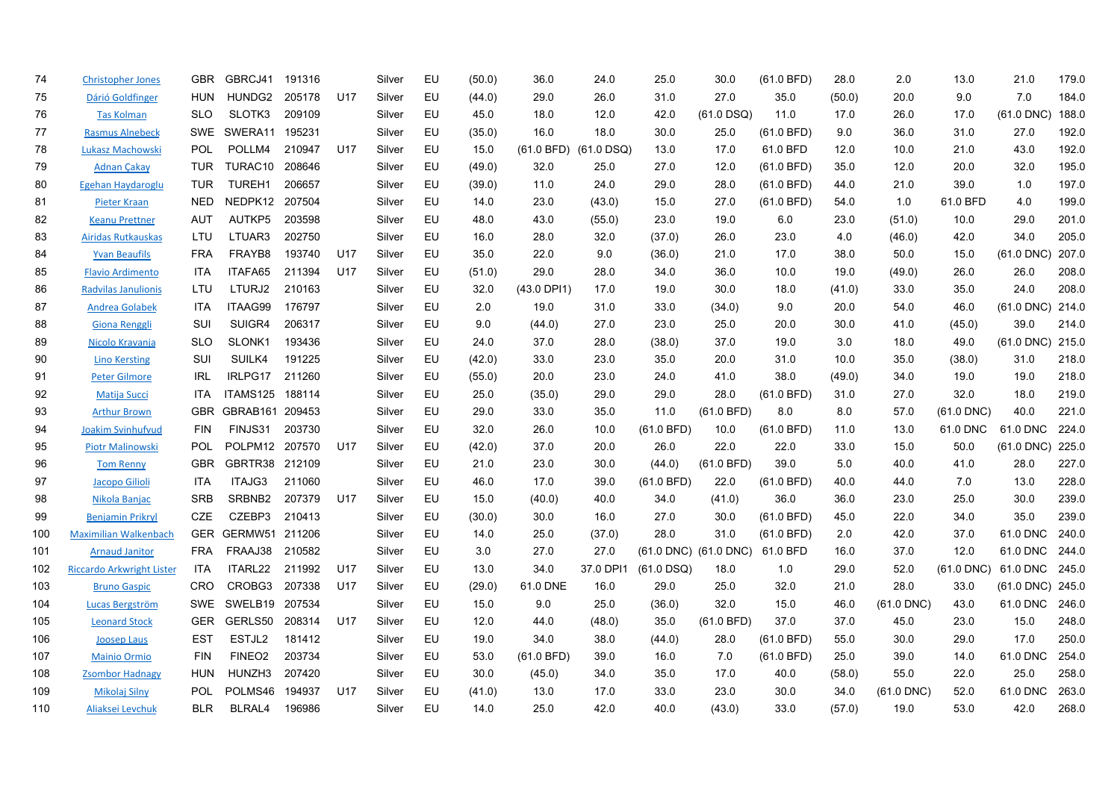| 74  | <b>Christopher Jones</b>         | <b>GBR</b> | GBRCJ41            | 191316 |     | Silver | EU | (50.0) | 36.0                  | 24.0      | 25.0         | 30.0                  | (61.0 BFD)   | 28.0   | 2.0          | 13.0         | 21.0             | 179.0 |
|-----|----------------------------------|------------|--------------------|--------|-----|--------|----|--------|-----------------------|-----------|--------------|-----------------------|--------------|--------|--------------|--------------|------------------|-------|
| 75  | Dárió Goldfinger                 | HUN        | HUNDG2             | 205178 | U17 | Silver | EU | (44.0) | 29.0                  | 26.0      | 31.0         | 27.0                  | 35.0         | (50.0) | 20.0         | 9.0          | 7.0              | 184.0 |
| 76  | <b>Tas Kolman</b>                | <b>SLO</b> | SLOTK3             | 209109 |     | Silver | EU | 45.0   | 18.0                  | 12.0      | 42.0         | $(61.0$ DSQ)          | 11.0         | 17.0   | 26.0         | 17.0         | $(61.0$ DNC)     | 188.0 |
| 77  | <b>Rasmus Alnebeck</b>           | <b>SWE</b> | SWERA11            | 195231 |     | Silver | EU | (35.0) | 16.0                  | 18.0      | 30.0         | 25.0                  | (61.0 BFD)   | 9.0    | 36.0         | 31.0         | 27.0             | 192.0 |
| 78  | Lukasz Machowski                 | <b>POL</b> | POLLM4             | 210947 | U17 | Silver | EU | 15.0   | (61.0 BFD) (61.0 DSQ) |           | 13.0         | 17.0                  | 61.0 BFD     | 12.0   | 10.0         | 21.0         | 43.0             | 192.0 |
| 79  | <b>Adnan Çakay</b>               | <b>TUR</b> | TURAC10            | 208646 |     | Silver | EU | (49.0) | 32.0                  | 25.0      | 27.0         | 12.0                  | (61.0 BFD)   | 35.0   | 12.0         | 20.0         | 32.0             | 195.0 |
| 80  | Egehan Haydaroglu                | TUR        | TUREH1             | 206657 |     | Silver | EU | (39.0) | 11.0                  | 24.0      | 29.0         | 28.0                  | (61.0 BFD)   | 44.0   | 21.0         | 39.0         | 1.0              | 197.0 |
| 81  | <b>Pieter Kraan</b>              | <b>NED</b> | NEDPK12 207504     |        |     | Silver | EU | 14.0   | 23.0                  | (43.0)    | 15.0         | 27.0                  | (61.0 BFD)   | 54.0   | 1.0          | 61.0 BFD     | 4.0              | 199.0 |
| 82  | <b>Keanu Prettner</b>            | AUT        | AUTKP5             | 203598 |     | Silver | EU | 48.0   | 43.0                  | (55.0)    | 23.0         | 19.0                  | 6.0          | 23.0   | (51.0)       | 10.0         | 29.0             | 201.0 |
| 83  | <b>Airidas Rutkauskas</b>        | LTU        | LTUAR3             | 202750 |     | Silver | EU | 16.0   | 28.0                  | 32.0      | (37.0)       | 26.0                  | 23.0         | 4.0    | (46.0)       | 42.0         | 34.0             | 205.0 |
| 84  | <b>Yvan Beaufils</b>             | <b>FRA</b> | FRAYB8             | 193740 | U17 | Silver | EU | 35.0   | 22.0                  | 9.0       | (36.0)       | 21.0                  | 17.0         | 38.0   | 50.0         | 15.0         | $(61.0$ DNC)     | 207.0 |
| 85  | <b>Flavio Ardimento</b>          | <b>ITA</b> | ITAFA65            | 211394 | U17 | Silver | EU | (51.0) | 29.0                  | 28.0      | 34.0         | 36.0                  | 10.0         | 19.0   | (49.0)       | 26.0         | 26.0             | 208.0 |
| 86  | Radvilas Janulionis              | LTU        | LTURJ2             | 210163 |     | Silver | EU | 32.0   | $(43.0$ DPI1)         | 17.0      | 19.0         | 30.0                  | 18.0         | (41.0) | 33.0         | 35.0         | 24.0             | 208.0 |
| 87  | Andrea Golabek                   | <b>ITA</b> | ITAAG99            | 176797 |     | Silver | EU | 2.0    | 19.0                  | 31.0      | 33.0         | (34.0)                | 9.0          | 20.0   | 54.0         | 46.0         | $(61.0$ DNC)     | 214.0 |
| 88  | Giona Renggli                    | SUI        | SUIGR4             | 206317 |     | Silver | EU | 9.0    | (44.0)                | 27.0      | 23.0         | 25.0                  | 20.0         | 30.0   | 41.0         | (45.0)       | 39.0             | 214.0 |
| 89  | Nicolo Kravanja                  | <b>SLO</b> | SLONK1             | 193436 |     | Silver | EU | 24.0   | 37.0                  | 28.0      | (38.0)       | 37.0                  | 19.0         | 3.0    | 18.0         | 49.0         | $(61.0$ DNC)     | 215.0 |
| 90  | <b>Lino Kersting</b>             | SUI        | SUILK4             | 191225 |     | Silver | EU | (42.0) | 33.0                  | 23.0      | 35.0         | 20.0                  | 31.0         | 10.0   | 35.0         | (38.0)       | 31.0             | 218.0 |
| 91  | <b>Peter Gilmore</b>             | IRL        | IRLPG17            | 211260 |     | Silver | EU | (55.0) | 20.0                  | 23.0      | 24.0         | 41.0                  | 38.0         | (49.0) | 34.0         | 19.0         | 19.0             | 218.0 |
| 92  | <b>Matija Succi</b>              | ITA        | ITAMS125 188114    |        |     | Silver | EU | 25.0   | (35.0)                | 29.0      | 29.0         | 28.0                  | (61.0 BFD)   | 31.0   | 27.0         | 32.0         | 18.0             | 219.0 |
| 93  | <b>Arthur Brown</b>              | <b>GBR</b> | GBRAB161 209453    |        |     | Silver | EU | 29.0   | 33.0                  | 35.0      | 11.0         | $(61.0$ BFD)          | 8.0          | 8.0    | 57.0         | $(61.0$ DNC) | 40.0             | 221.0 |
| 94  | Joakim Svinhufvud                | <b>FIN</b> | FINJS31            | 203730 |     | Silver | EU | 32.0   | 26.0                  | 10.0      | (61.0 BFD)   | 10.0                  | (61.0 BFD)   | 11.0   | 13.0         | 61.0 DNC     | 61.0 DNC         | 224.0 |
| 95  | <b>Piotr Malinowski</b>          | POL        | POLPM12 207570     |        | U17 | Silver | EU | (42.0) | 37.0                  | 20.0      | 26.0         | 22.0                  | 22.0         | 33.0   | 15.0         | 50.0         | $(61.0$ DNC)     | 225.0 |
| 96  | <b>Tom Renny</b>                 | <b>GBR</b> | GBRTR38 212109     |        |     | Silver | EU | 21.0   | 23.0                  | 30.0      | (44.0)       | $(61.0$ BFD)          | 39.0         | 5.0    | 40.0         | 41.0         | 28.0             | 227.0 |
| 97  | Jacopo Gilioli                   | ITA        | ITAJG3             | 211060 |     | Silver | EU | 46.0   | 17.0                  | 39.0      | (61.0 BFD)   | 22.0                  | (61.0 BFD)   | 40.0   | 44.0         | 7.0          | 13.0             | 228.0 |
| 98  | Nikola Banjac                    | <b>SRB</b> | SRBNB2             | 207379 | U17 | Silver | EU | 15.0   | (40.0)                | 40.0      | 34.0         | (41.0)                | 36.0         | 36.0   | 23.0         | 25.0         | 30.0             | 239.0 |
| 99  | <b>Benjamin Prikryl</b>          | CZE        | CZEBP3             | 210413 |     | Silver | EU | (30.0) | 30.0                  | 16.0      | 27.0         | 30.0                  | $(61.0$ BFD) | 45.0   | 22.0         | 34.0         | 35.0             | 239.0 |
| 100 | Maximilian Walkenbach            | <b>GER</b> | GERMW51 211206     |        |     | Silver | EU | 14.0   | 25.0                  | (37.0)    | 28.0         | 31.0                  | (61.0 BFD)   | 2.0    | 42.0         | 37.0         | 61.0 DNC         | 240.0 |
| 101 | <b>Arnaud Janitor</b>            | <b>FRA</b> | FRAAJ38            | 210582 |     | Silver | EU | 3.0    | 27.0                  | 27.0      |              | (61.0 DNC) (61.0 DNC) | 61.0 BFD     | 16.0   | 37.0         | 12.0         | 61.0 DNC         | 244.0 |
| 102 | <b>Riccardo Arkwright Lister</b> | ITA        | ITARL22            | 211992 | U17 | Silver | EU | 13.0   | 34.0                  | 37.0 DPI1 | $(61.0$ DSQ) | 18.0                  | 1.0          | 29.0   | 52.0         | $(61.0$ DNC) | 61.0 DNC         | 245.0 |
| 103 | <b>Bruno Gaspic</b>              | <b>CRO</b> | CROBG3             | 207338 | U17 | Silver | EU | (29.0) | 61.0 DNE              | 16.0      | 29.0         | 25.0                  | 32.0         | 21.0   | 28.0         | 33.0         | (61.0 DNC) 245.0 |       |
| 104 | Lucas Bergström                  | <b>SWE</b> | SWELB19            | 207534 |     | Silver | EU | 15.0   | 9.0                   | 25.0      | (36.0)       | 32.0                  | 15.0         | 46.0   | $(61.0$ DNC) | 43.0         | 61.0 DNC         | 246.0 |
| 105 | <b>Leonard Stock</b>             | <b>GER</b> | GERLS50            | 208314 | U17 | Silver | EU | 12.0   | 44.0                  | (48.0)    | 35.0         | (61.0 BFD)            | 37.0         | 37.0   | 45.0         | 23.0         | 15.0             | 248.0 |
| 106 | <b>Joosep Laus</b>               | <b>EST</b> | ESTJL2             | 181412 |     | Silver | EU | 19.0   | 34.0                  | 38.0      | (44.0)       | 28.0                  | (61.0 BFD)   | 55.0   | 30.0         | 29.0         | 17.0             | 250.0 |
| 107 | <b>Mainio Ormio</b>              | <b>FIN</b> | FINEO <sub>2</sub> | 203734 |     | Silver | EU | 53.0   | (61.0 BFD)            | 39.0      | 16.0         | 7.0                   | (61.0 BFD)   | 25.0   | 39.0         | 14.0         | 61.0 DNC         | 254.0 |
| 108 | <b>Zsombor Hadnagy</b>           | <b>HUN</b> | HUNZH3             | 207420 |     | Silver | EU | 30.0   | (45.0)                | 34.0      | 35.0         | 17.0                  | 40.0         | (58.0) | 55.0         | 22.0         | 25.0             | 258.0 |
| 109 | Mikolaj Silny                    | POL        | POLMS46            | 194937 | U17 | Silver | EU | (41.0) | 13.0                  | 17.0      | 33.0         | 23.0                  | 30.0         | 34.0   | $(61.0$ DNC) | 52.0         | 61.0 DNC         | 263.0 |
| 110 | Aliaksei Levchuk                 | <b>BLR</b> | BLRAL4             | 196986 |     | Silver | EU | 14.0   | 25.0                  | 42.0      | 40.0         | (43.0)                | 33.0         | (57.0) | 19.0         | 53.0         | 42.0             | 268.0 |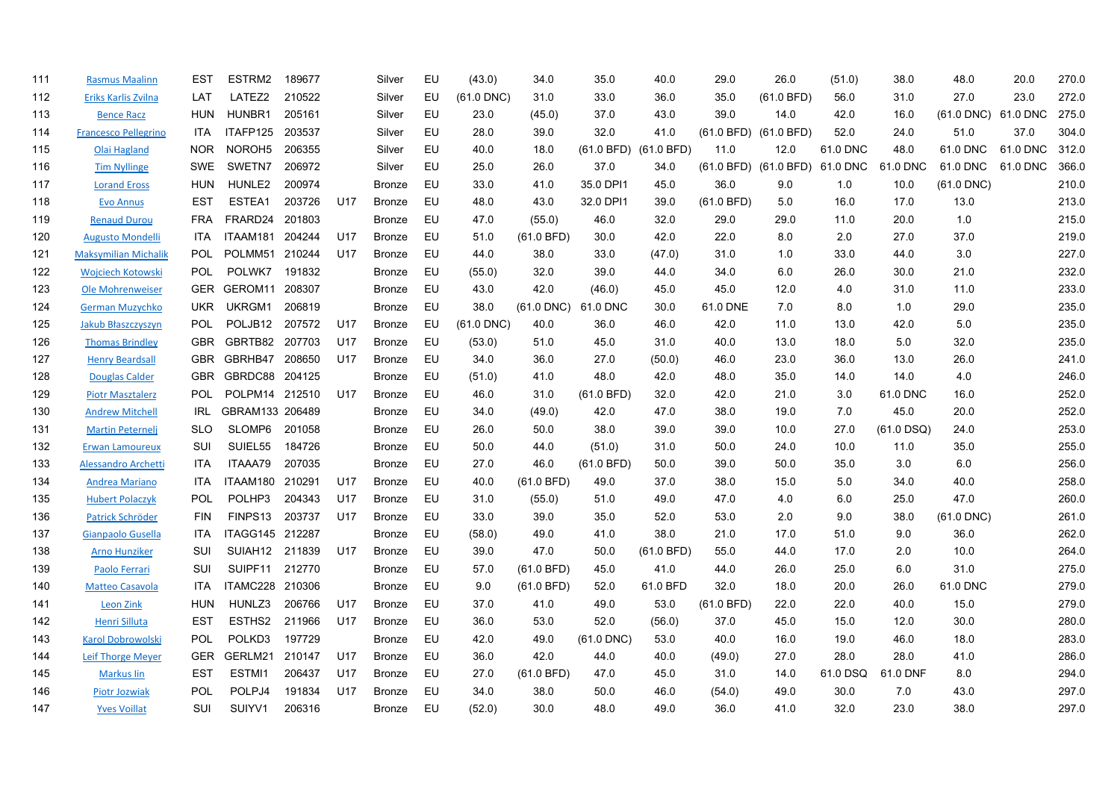| 111 | <b>Rasmus Maalinn</b>       | <b>EST</b> | ESTRM2              | 189677 |     | Silver        | EU | (43.0)       | 34.0         | 35.0            | 40.0                  | 29.0       | 26.0                           | (51.0)   | 38.0         | 48.0                | 20.0     | 270.0 |
|-----|-----------------------------|------------|---------------------|--------|-----|---------------|----|--------------|--------------|-----------------|-----------------------|------------|--------------------------------|----------|--------------|---------------------|----------|-------|
| 112 | Eriks Karlis Zvilna         | LAT        | LATEZ2              | 210522 |     | Silver        | EU | $(61.0$ DNC) | 31.0         | 33.0            | 36.0                  | 35.0       | (61.0 BFD)                     | 56.0     | 31.0         | 27.0                | 23.0     | 272.0 |
| 113 | <b>Bence Racz</b>           | <b>HUN</b> | HUNBR1              | 205161 |     | Silver        | EU | 23.0         | (45.0)       | 37.0            | 43.0                  | 39.0       | 14.0                           | 42.0     | 16.0         | (61.0 DNC) 61.0 DNC |          | 275.0 |
| 114 | <b>Francesco Pellegrino</b> | <b>ITA</b> | ITAFP125            | 203537 |     | Silver        | EU | 28.0         | 39.0         | 32.0            | 41.0                  |            | (61.0 BFD) (61.0 BFD)          | 52.0     | 24.0         | 51.0                | 37.0     | 304.0 |
| 115 | Olai Hagland                | <b>NOR</b> | NOROH <sub>5</sub>  | 206355 |     | Silver        | EU | 40.0         | 18.0         |                 | (61.0 BFD) (61.0 BFD) | 11.0       | 12.0                           | 61.0 DNC | 48.0         | 61.0 DNC            | 61.0 DNC | 312.0 |
| 116 | <b>Tim Nyllinge</b>         | <b>SWE</b> | SWETN7              | 206972 |     | Silver        | EU | 25.0         | 26.0         | 37.0            | 34.0                  |            | (61.0 BFD) (61.0 BFD) 61.0 DNC |          | 61.0 DNC     | 61.0 DNC            | 61.0 DNC | 366.0 |
| 117 | <b>Lorand Eross</b>         | <b>HUN</b> | HUNLE2              | 200974 |     | Bronze        | EU | 33.0         | 41.0         | 35.0 DPI1       | 45.0                  | 36.0       | 9.0                            | 1.0      | 10.0         | $(61.0$ DNC)        |          | 210.0 |
| 118 | <b>Evo Annus</b>            | <b>EST</b> | ESTEA1              | 203726 | U17 | Bronze        | EU | 48.0         | 43.0         | 32.0 DPI1       | 39.0                  | (61.0 BFD) | 5.0                            | 16.0     | 17.0         | 13.0                |          | 213.0 |
| 119 | <b>Renaud Durou</b>         | <b>FRA</b> | FRARD24             | 201803 |     | <b>Bronze</b> | EU | 47.0         | (55.0)       | 46.0            | 32.0                  | 29.0       | 29.0                           | 11.0     | 20.0         | 1.0                 |          | 215.0 |
| 120 | <b>Augusto Mondelli</b>     | <b>ITA</b> | ITAAM181            | 204244 | U17 | <b>Bronze</b> | EU | 51.0         | (61.0 BFD)   | 30.0            | 42.0                  | 22.0       | 8.0                            | 2.0      | 27.0         | 37.0                |          | 219.0 |
| 121 | <b>Maksymilian Michalik</b> | <b>POL</b> | POLMM51             | 210244 | U17 | Bronze        | EU | 44.0         | 38.0         | 33.0            | (47.0)                | 31.0       | 1.0                            | 33.0     | 44.0         | 3.0                 |          | 227.0 |
| 122 | <b>Wojciech Kotowski</b>    | POL        | POLWK7              | 191832 |     | Bronze        | EU | (55.0)       | 32.0         | 39.0            | 44.0                  | 34.0       | 6.0                            | 26.0     | 30.0         | 21.0                |          | 232.0 |
| 123 | Ole Mohrenweiser            | <b>GER</b> | GEROM11 208307      |        |     | Bronze        | EU | 43.0         | 42.0         | (46.0)          | 45.0                  | 45.0       | 12.0                           | 4.0      | 31.0         | 11.0                |          | 233.0 |
| 124 | <b>German Muzychko</b>      | <b>UKR</b> | UKRGM1              | 206819 |     | Bronze        | EU | 38.0         | $(61.0$ DNC) | 61.0 DNC        | 30.0                  | 61.0 DNE   | 7.0                            | 8.0      | 1.0          | 29.0                |          | 235.0 |
| 125 | Jakub Błaszczyszyn          | <b>POL</b> | POLJB <sub>12</sub> | 207572 | U17 | Bronze        | EU | $(61.0$ DNC) | 40.0         | 36.0            | 46.0                  | 42.0       | 11.0                           | 13.0     | 42.0         | 5.0                 |          | 235.0 |
| 126 | <b>Thomas Brindley</b>      | <b>GBR</b> | GBRTB82 207703      |        | U17 | Bronze        | EU | (53.0)       | 51.0         | 45.0            | 31.0                  | 40.0       | 13.0                           | 18.0     | 5.0          | 32.0                |          | 235.0 |
| 127 | <b>Henry Beardsall</b>      | <b>GBR</b> | GBRHB47             | 208650 | U17 | <b>Bronze</b> | EU | 34.0         | 36.0         | 27.0            | (50.0)                | 46.0       | 23.0                           | 36.0     | 13.0         | 26.0                |          | 241.0 |
| 128 | <b>Douglas Calder</b>       | <b>GBR</b> | GBRDC88 204125      |        |     | Bronze        | EU | (51.0)       | 41.0         | 48.0            | 42.0                  | 48.0       | 35.0                           | 14.0     | 14.0         | 4.0                 |          | 246.0 |
| 129 | <b>Piotr Masztalerz</b>     | <b>POL</b> | POLPM14 212510      |        | U17 | Bronze        | EU | 46.0         | 31.0         | (61.0 BFD)      | 32.0                  | 42.0       | 21.0                           | 3.0      | 61.0 DNC     | 16.0                |          | 252.0 |
| 130 | <b>Andrew Mitchell</b>      | IRL        | GBRAM133 206489     |        |     | Bronze        | EU | 34.0         | (49.0)       | 42.0            | 47.0                  | 38.0       | 19.0                           | 7.0      | 45.0         | 20.0                |          | 252.0 |
| 131 | <b>Martin Peternelj</b>     | <b>SLO</b> | SLOMP6              | 201058 |     | Bronze        | EU | 26.0         | 50.0         | 38.0            | 39.0                  | 39.0       | 10.0                           | 27.0     | $(61.0$ DSQ) | 24.0                |          | 253.0 |
| 132 | <b>Erwan Lamoureux</b>      | SUI        | SUIEL55             | 184726 |     | <b>Bronze</b> | EU | 50.0         | 44.0         | (51.0)          | 31.0                  | 50.0       | 24.0                           | 10.0     | 11.0         | 35.0                |          | 255.0 |
| 133 | <b>Alessandro Archetti</b>  | <b>ITA</b> | ITAAA79             | 207035 |     | Bronze        | EU | 27.0         | 46.0         | (61.0 BFD)      | 50.0                  | 39.0       | 50.0                           | 35.0     | 3.0          | 6.0                 |          | 256.0 |
| 134 | <b>Andrea Mariano</b>       | <b>ITA</b> | ITAAM180 210291     |        | U17 | Bronze        | EU | 40.0         | (61.0 BFD)   | 49.0            | 37.0                  | 38.0       | 15.0                           | 5.0      | 34.0         | 40.0                |          | 258.0 |
| 135 | <b>Hubert Polaczyk</b>      | POL        | POLHP3              | 204343 | U17 | <b>Bronze</b> | EU | 31.0         | (55.0)       | 51.0            | 49.0                  | 47.0       | 4.0                            | 6.0      | 25.0         | 47.0                |          | 260.0 |
| 136 | Patrick Schröder            | <b>FIN</b> | FINPS <sub>13</sub> | 203737 | U17 | Bronze        | EU | 33.0         | 39.0         | 35.0            | 52.0                  | 53.0       | 2.0                            | 9.0      | 38.0         | $(61.0$ DNC)        |          | 261.0 |
| 137 | Gianpaolo Gusella           | <b>ITA</b> | ITAGG145 212287     |        |     | Bronze        | EU | (58.0)       | 49.0         | 41.0            | 38.0                  | 21.0       | 17.0                           | 51.0     | 9.0          | 36.0                |          | 262.0 |
| 138 | <b>Arno Hunziker</b>        | SUI        | SUIAH12             | 211839 | U17 | <b>Bronze</b> | EU | 39.0         | 47.0         | 50.0            | (61.0 BFD)            | 55.0       | 44.0                           | 17.0     | 2.0          | 10.0                |          | 264.0 |
| 139 | Paolo Ferrari               | SUI        | SUIPF11             | 212770 |     | <b>Bronze</b> | EU | 57.0         | (61.0 BFD)   | 45.0            | 41.0                  | 44.0       | 26.0                           | 25.0     | 6.0          | 31.0                |          | 275.0 |
| 140 | <b>Matteo Casavola</b>      | <b>ITA</b> | ITAMC228 210306     |        |     | <b>Bronze</b> | EU | 9.0          | (61.0 BFD)   | 52.0            | 61.0 BFD              | 32.0       | 18.0                           | 20.0     | 26.0         | 61.0 DNC            |          | 279.0 |
| 141 | <b>Leon Zink</b>            | <b>HUN</b> | HUNLZ3              | 206766 | U17 | <b>Bronze</b> | EU | 37.0         | 41.0         | 49.0            | 53.0                  | (61.0 BFD) | 22.0                           | 22.0     | 40.0         | 15.0                |          | 279.0 |
| 142 | Henri Silluta               | <b>EST</b> | ESTHS2              | 211966 | U17 | Bronze        | EU | 36.0         | 53.0         | 52.0            | (56.0)                | 37.0       | 45.0                           | 15.0     | 12.0         | 30.0                |          | 280.0 |
| 143 | <b>Karol Dobrowolski</b>    | POL        | POLKD <sub>3</sub>  | 197729 |     | <b>Bronze</b> | EU | 42.0         | 49.0         | $(61.0$ DNC $)$ | 53.0                  | 40.0       | 16.0                           | 19.0     | 46.0         | 18.0                |          | 283.0 |
| 144 | Leif Thorge Meyer           | <b>GER</b> | GERLM21             | 210147 | U17 | Bronze        | EU | 36.0         | 42.0         | 44.0            | 40.0                  | (49.0)     | 27.0                           | 28.0     | 28.0         | 41.0                |          | 286.0 |
| 145 | <b>Markus lin</b>           | <b>EST</b> | ESTMI1              | 206437 | U17 | Bronze        | EU | 27.0         | (61.0 BFD)   | 47.0            | 45.0                  | 31.0       | 14.0                           | 61.0 DSQ | 61.0 DNF     | 8.0                 |          | 294.0 |
| 146 | Piotr Jozwiak               | POL        | POLPJ4              | 191834 | U17 | Bronze        | EU | 34.0         | 38.0         | 50.0            | 46.0                  | (54.0)     | 49.0                           | 30.0     | 7.0          | 43.0                |          | 297.0 |
| 147 | <b>Yves Voillat</b>         | SUI        | SUIYV1              | 206316 |     | <b>Bronze</b> | EU | (52.0)       | 30.0         | 48.0            | 49.0                  | 36.0       | 41.0                           | 32.0     | 23.0         | 38.0                |          | 297.0 |